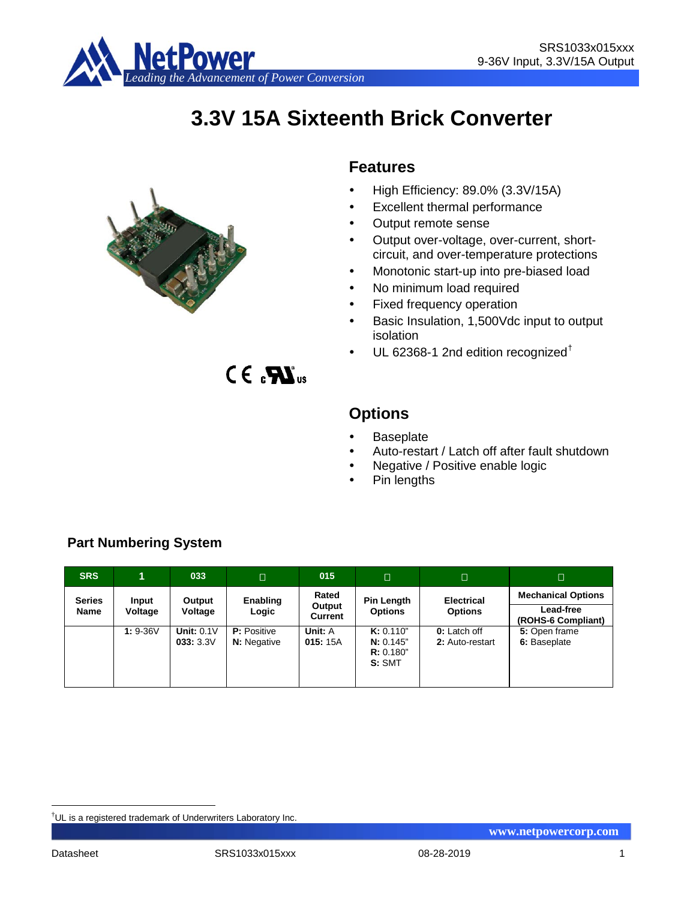

# **3.3V 15A Sixteenth Brick Converter**



 $CE<sub>s</sub>$  $KL<sub>us</sub>$ 

# **Features**

- $\bullet$  High Efficiency: 89.0% (3.3V/15A)
- Excellent thermal performance
- Output remote sense
- Output over-voltage, over-current, shortcircuit, and over-temperature protections
- Monotonic start-up into pre-biased load
- No minimum load required
- Fixed frequency operation
- Basic Insulation, 1,500Vdc input to output isolation
- UL 62368-1 2nd edition recognized[†](#page-0-0)

# **Options**

- **Baseplate**
- Auto-restart / Latch off after fault shutdown
- Negative / Positive enable logic
- Pin lengths

| <b>SRS</b>    | 1          | 033                           | $\Box$                                   | 015                              | $\Box$                                       | $\Box$                          | □                               |
|---------------|------------|-------------------------------|------------------------------------------|----------------------------------|----------------------------------------------|---------------------------------|---------------------------------|
| <b>Series</b> | Input      | Output<br>Voltage             | Enabling                                 | Rated                            | Pin Length                                   | <b>Electrical</b>               | <b>Mechanical Options</b>       |
| Name          | Voltage    |                               | Logic                                    | <b>Options</b><br><b>Current</b> | Output<br><b>Options</b>                     |                                 | Lead-free<br>(ROHS-6 Compliant) |
|               | $1: 9-36V$ | <b>Unit: 0.1V</b><br>033:3.3V | <b>P:</b> Positive<br><b>N:</b> Negative | Unit: A<br>015:15A               | K: 0.110"<br>N: 0.145"<br>R: 0.180"<br>S:SMT | 0: Latch off<br>2: Auto-restart | 5: Open frame<br>6: Baseplate   |

# **Part Numbering System**

<span id="page-0-0"></span><sup>|&</sup>lt;br>|<br>| <sup>†</sup>UL is a registered trademark of Underwriters Laboratory Inc.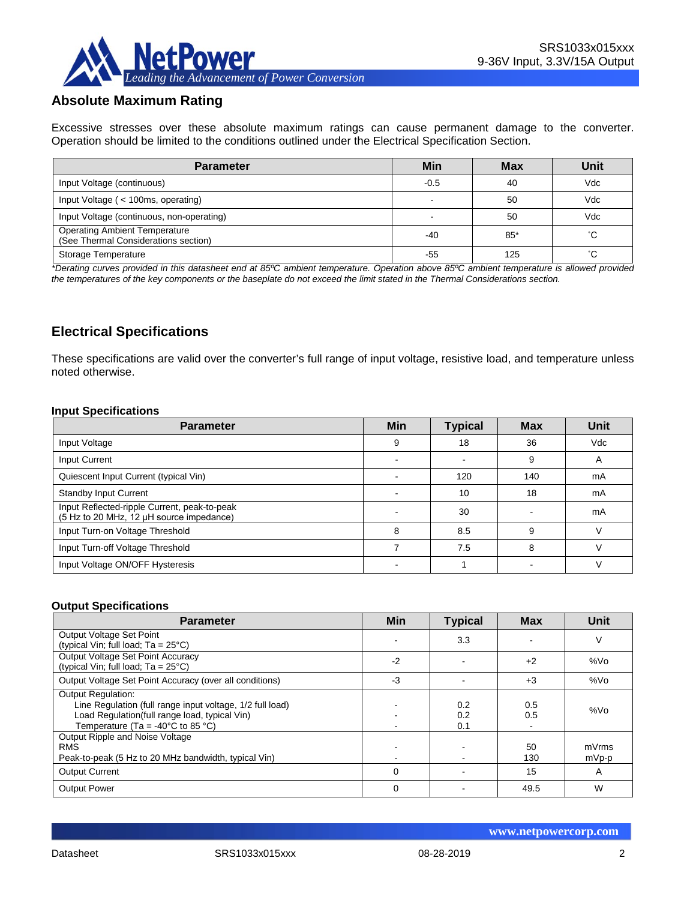

# **Absolute Maximum Rating**

Excessive stresses over these absolute maximum ratings can cause permanent damage to the converter. Operation should be limited to the conditions outlined under the Electrical Specification Section.

| <b>Parameter</b>                                                             | Min    | <b>Max</b> | Unit |
|------------------------------------------------------------------------------|--------|------------|------|
| Input Voltage (continuous)                                                   | $-0.5$ | 40         | Vdc  |
| Input Voltage ( < 100ms, operating)                                          |        | 50         | Vdc  |
| Input Voltage (continuous, non-operating)                                    |        | 50         | Vdc  |
| <b>Operating Ambient Temperature</b><br>(See Thermal Considerations section) | -40    | $85*$      | °С   |
| Storage Temperature                                                          | -55    | 125        | °С   |

*\*Derating curves provided in this datasheet end at 85ºC ambient temperature. Operation above 85ºC ambient temperature is allowed provided the temperatures of the key components or the baseplate do not exceed the limit stated in the Thermal Considerations section.*

# **Electrical Specifications**

These specifications are valid over the converter's full range of input voltage, resistive load, and temperature unless noted otherwise.

#### **Input Specifications**

| <b>Parameter</b>                                                                         | <b>Min</b> | <b>Typical</b> | <b>Max</b> | Unit |
|------------------------------------------------------------------------------------------|------------|----------------|------------|------|
| Input Voltage                                                                            | 9          | 18             | 36         | Vdc  |
| Input Current                                                                            |            |                | 9          | A    |
| Quiescent Input Current (typical Vin)                                                    |            | 120            | 140        | mA   |
| <b>Standby Input Current</b>                                                             |            | 10             | 18         | mA   |
| Input Reflected-ripple Current, peak-to-peak<br>(5 Hz to 20 MHz, 12 µH source impedance) |            | 30             |            | mA   |
| Input Turn-on Voltage Threshold                                                          | 8          | 8.5            | 9          | ١.   |
| Input Turn-off Voltage Threshold                                                         |            | 7.5            | 8          |      |
| Input Voltage ON/OFF Hysteresis                                                          |            |                |            |      |

#### **Output Specifications**

| <b>Parameter</b>                                                                                                                                                                                  | Min  | <b>Typical</b>    | <b>Max</b> | Unit            |
|---------------------------------------------------------------------------------------------------------------------------------------------------------------------------------------------------|------|-------------------|------------|-----------------|
| Output Voltage Set Point                                                                                                                                                                          |      | 3.3               |            | ٧               |
| (typical Vin; full load; $Ta = 25^{\circ}C$ )                                                                                                                                                     |      |                   |            |                 |
| Output Voltage Set Point Accuracy<br>(typical Vin; full load; $Ta = 25^{\circ}C$ )                                                                                                                | $-2$ |                   | $+2$       | %V <sub>O</sub> |
| Output Voltage Set Point Accuracy (over all conditions)                                                                                                                                           | $-3$ |                   | $+3$       | %Vo             |
| <b>Output Regulation:</b><br>Line Regulation (full range input voltage, 1/2 full load)<br>Load Regulation(full range load, typical Vin)<br>Temperature (Ta = -40 $^{\circ}$ C to 85 $^{\circ}$ C) |      | 0.2<br>0.2<br>0.1 | 0.5<br>0.5 | %Vo             |
| Output Ripple and Noise Voltage<br><b>RMS</b><br>Peak-to-peak (5 Hz to 20 MHz bandwidth, typical Vin)                                                                                             |      |                   | 50<br>130  | mVrms<br>mVp-p  |
| <b>Output Current</b>                                                                                                                                                                             | 0    |                   | 15         | A               |
| <b>Output Power</b>                                                                                                                                                                               | 0    |                   | 49.5       | W               |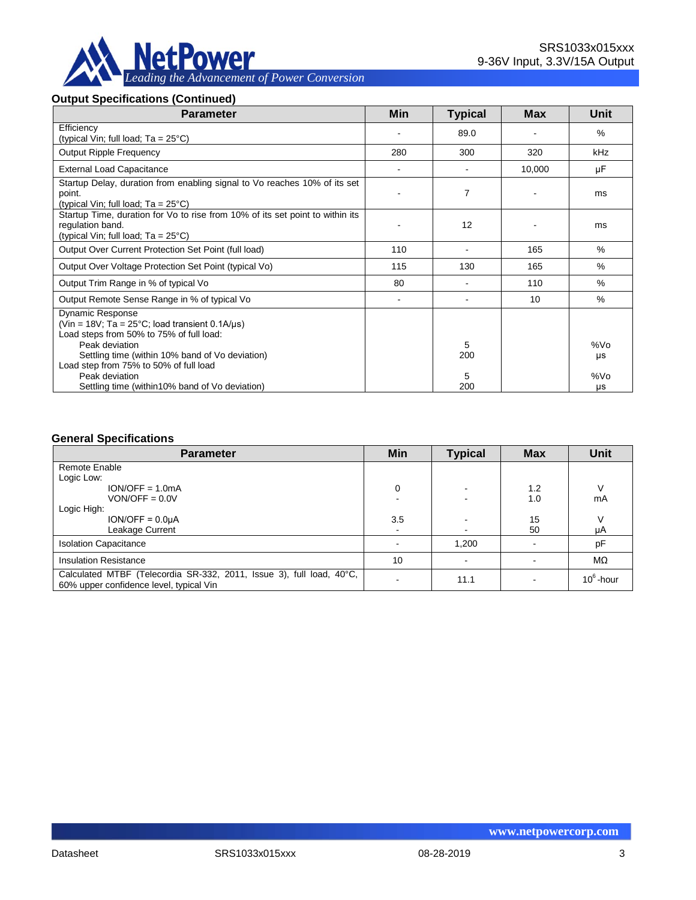

#### **Output Specifications (Continued)**

| <b>Parameter</b>                                                                                                                                                                                                                                  | Min                      | <b>Typical</b> | <b>Max</b> | Unit       |
|---------------------------------------------------------------------------------------------------------------------------------------------------------------------------------------------------------------------------------------------------|--------------------------|----------------|------------|------------|
| Efficiency<br>(typical Vin; full load; $Ta = 25^{\circ}C$ )                                                                                                                                                                                       |                          | 89.0           |            | %          |
| <b>Output Ripple Frequency</b>                                                                                                                                                                                                                    | 280                      | 300            | 320        | <b>kHz</b> |
| <b>External Load Capacitance</b>                                                                                                                                                                                                                  | $\blacksquare$           |                | 10,000     | μF         |
| Startup Delay, duration from enabling signal to Vo reaches 10% of its set<br>point.<br>(typical Vin; full load; $Ta = 25^{\circ}C$ )                                                                                                              |                          | $\overline{7}$ |            | ms         |
| Startup Time, duration for Vo to rise from 10% of its set point to within its<br>regulation band.<br>(typical Vin; full load; $Ta = 25^{\circ}C$ )                                                                                                |                          | 12             |            | ms         |
| Output Over Current Protection Set Point (full load)                                                                                                                                                                                              | 110                      |                | 165        | $\%$       |
| Output Over Voltage Protection Set Point (typical Vo)                                                                                                                                                                                             | 115                      | 130            | 165        | $\%$       |
| Output Trim Range in % of typical Vo                                                                                                                                                                                                              | 80                       |                | 110        | $\%$       |
| Output Remote Sense Range in % of typical Vo                                                                                                                                                                                                      | $\overline{\phantom{a}}$ |                | 10         | $\%$       |
| <b>Dynamic Response</b><br>(Vin = $18V$ ; Ta = $25^{\circ}$ C; load transient 0.1A/us)<br>Load steps from 50% to 75% of full load:<br>Peak deviation<br>Settling time (within 10% band of Vo deviation)<br>Load step from 75% to 50% of full load |                          | 5<br>200       |            | %Vo<br>μs  |
| Peak deviation<br>Settling time (within 10% band of Vo deviation)                                                                                                                                                                                 |                          | 5<br>200       |            | %Vo<br>μs  |

#### **General Specifications**

| <b>Parameter</b>                                                                                                | Min | <b>Typical</b> | <b>Max</b> | Unit         |
|-----------------------------------------------------------------------------------------------------------------|-----|----------------|------------|--------------|
| Remote Enable                                                                                                   |     |                |            |              |
| Logic Low:                                                                                                      |     |                |            |              |
| $ION/OFF = 1.0mA$                                                                                               | 0   |                | 1.2        | V            |
| $VON/OFF = 0.0V$                                                                                                |     |                | 1.0        | mA           |
| Logic High:                                                                                                     |     |                |            |              |
| $ION/OFF = 0.0UA$                                                                                               | 3.5 |                | 15         | V            |
| Leakage Current                                                                                                 | ٠   | $\blacksquare$ | 50         | μA           |
| <b>Isolation Capacitance</b>                                                                                    |     | 1,200          |            | pF           |
| <b>Insulation Resistance</b>                                                                                    | 10  |                |            | MΩ           |
| Calculated MTBF (Telecordia SR-332, 2011, Issue 3), full load, 40°C,<br>60% upper confidence level, typical Vin |     | 11.1           |            | $10^6$ -hour |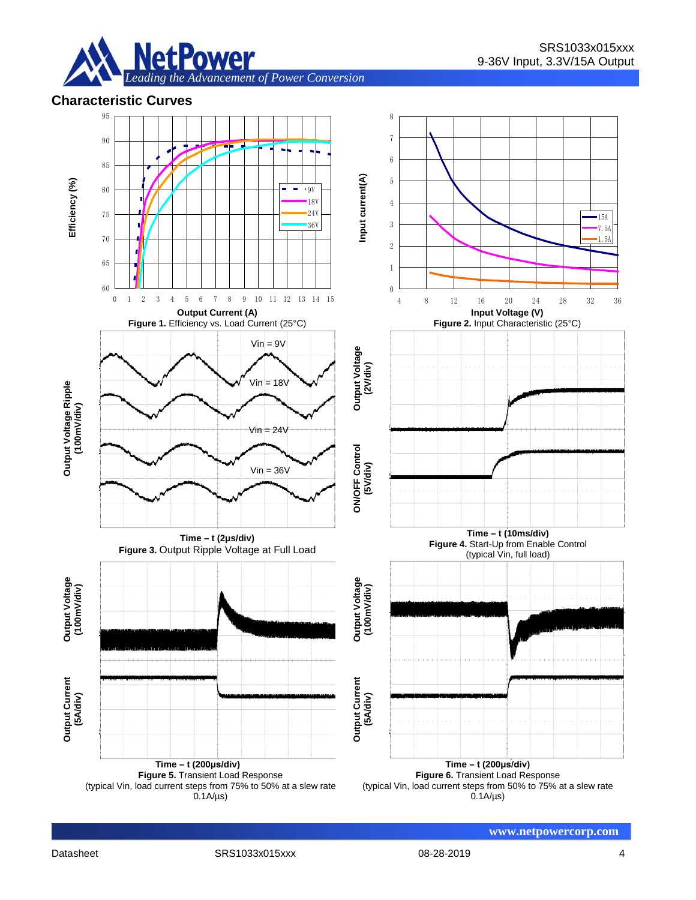

## **Characteristic Curves**

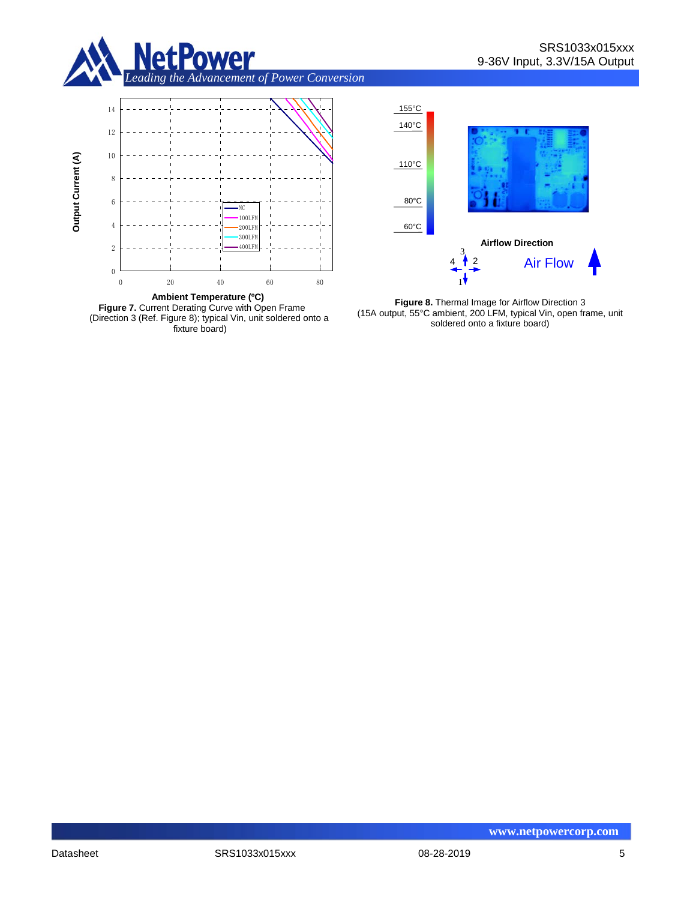









**Figure 8.** Thermal Image for Airflow Direction 3 (15A output, 55°C ambient, 200 LFM, typical Vin, open frame, unit soldered onto a fixture board)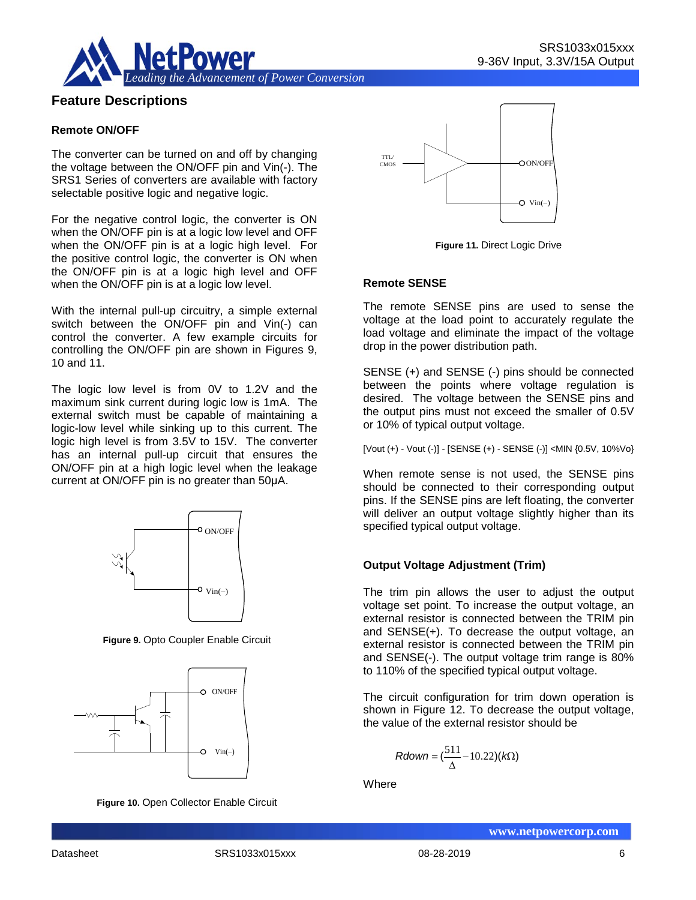

# **Feature Descriptions**

#### **Remote ON/OFF**

The converter can be turned on and off by changing the voltage between the ON/OFF pin and Vin(-). The SRS1 Series of converters are available with factory selectable positive logic and negative logic.

For the negative control logic, the converter is ON when the ON/OFF pin is at a logic low level and OFF when the ON/OFF pin is at a logic high level. For the positive control logic, the converter is ON when the ON/OFF pin is at a logic high level and OFF when the ON/OFF pin is at a logic low level.

With the internal pull-up circuitry, a simple external switch between the ON/OFF pin and Vin(-) can control the converter. A few example circuits for controlling the ON/OFF pin are shown in Figures 9, 10 and 11.

The logic low level is from 0V to 1.2V and the maximum sink current during logic low is 1mA. The external switch must be capable of maintaining a logic-low level while sinking up to this current. The logic high level is from 3.5V to 15V. The converter has an internal pull-up circuit that ensures the ON/OFF pin at a high logic level when the leakage current at ON/OFF pin is no greater than 50μA.



**Figure 9.** Opto Coupler Enable Circuit



**Figure 10.** Open Collector Enable Circuit



**Figure 11.** Direct Logic Drive

#### **Remote SENSE**

The remote SENSE pins are used to sense the voltage at the load point to accurately regulate the load voltage and eliminate the impact of the voltage drop in the power distribution path.

SENSE (+) and SENSE (-) pins should be connected between the points where voltage regulation is desired. The voltage between the SENSE pins and the output pins must not exceed the smaller of 0.5V or 10% of typical output voltage.

[Vout (+) - Vout (-)] - [SENSE (+) - SENSE (-)] <MIN {0.5V, 10%Vo}

When remote sense is not used, the SENSE pins should be connected to their corresponding output pins. If the SENSE pins are left floating, the converter will deliver an output voltage slightly higher than its specified typical output voltage.

#### **Output Voltage Adjustment (Trim)**

The trim pin allows the user to adjust the output voltage set point. To increase the output voltage, an external resistor is connected between the TRIM pin and SENSE(+). To decrease the output voltage, an external resistor is connected between the TRIM pin and SENSE(-). The output voltage trim range is 80% to 110% of the specified typical output voltage.

The circuit configuration for trim down operation is shown in Figure 12. To decrease the output voltage, the value of the external resistor should be

$$
Rdown = (\frac{511}{\Delta} - 10.22)(k\Omega)
$$

**Where**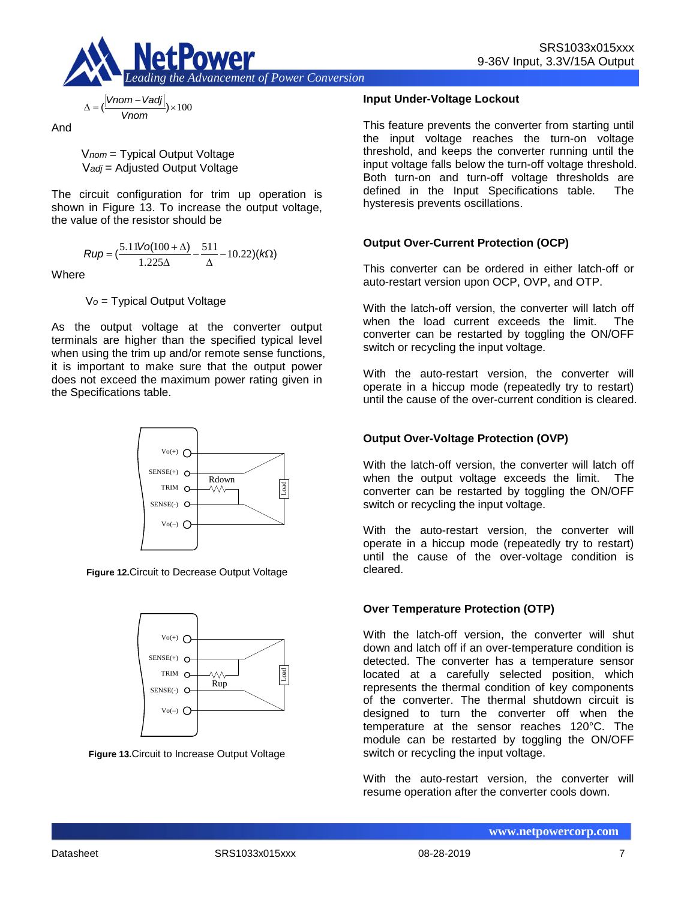

$$
\Delta = \left(\frac{|Vnom - Vadj|}{Vnom}\right) \times 100
$$

And

V*nom* = Typical Output Voltage V*adj* = Adjusted Output Voltage

The circuit configuration for trim up operation is shown in Figure 13. To increase the output voltage, the value of the resistor should be

$$
Rup = \left(\frac{5.11\text{Vol}(100 + \Delta)}{1.225\Delta} - \frac{511}{\Delta} - 10.22\right)(k\Omega)
$$

**Where** 

V*o* = Typical Output Voltage

As the output voltage at the converter output terminals are higher than the specified typical level when using the trim up and/or remote sense functions, it is important to make sure that the output power does not exceed the maximum power rating given in the Specifications table.



**Figure 12.**Circuit to Decrease Output Voltage



**Figure 13.**Circuit to Increase Output Voltage

#### **Input Under-Voltage Lockout**

This feature prevents the converter from starting until the input voltage reaches the turn-on voltage threshold, and keeps the converter running until the input voltage falls below the turn-off voltage threshold. Both turn-on and turn-off voltage thresholds are defined in the Input Specifications table. The hysteresis prevents oscillations.

## **Output Over-Current Protection (OCP)**

This converter can be ordered in either latch-off or auto-restart version upon OCP, OVP, and OTP.

With the latch-off version, the converter will latch off when the load current exceeds the limit. The converter can be restarted by toggling the ON/OFF switch or recycling the input voltage.

With the auto-restart version, the converter will operate in a hiccup mode (repeatedly try to restart) until the cause of the over-current condition is cleared.

## **Output Over-Voltage Protection (OVP)**

With the latch-off version, the converter will latch off when the output voltage exceeds the limit. The converter can be restarted by toggling the ON/OFF switch or recycling the input voltage.

With the auto-restart version, the converter will operate in a hiccup mode (repeatedly try to restart) until the cause of the over-voltage condition is cleared.

#### **Over Temperature Protection (OTP)**

With the latch-off version, the converter will shut down and latch off if an over-temperature condition is detected. The converter has a temperature sensor located at a carefully selected position, which represents the thermal condition of key components of the converter. The thermal shutdown circuit is designed to turn the converter off when the temperature at the sensor reaches 120°C. The module can be restarted by toggling the ON/OFF switch or recycling the input voltage.

With the auto-restart version, the converter will resume operation after the converter cools down.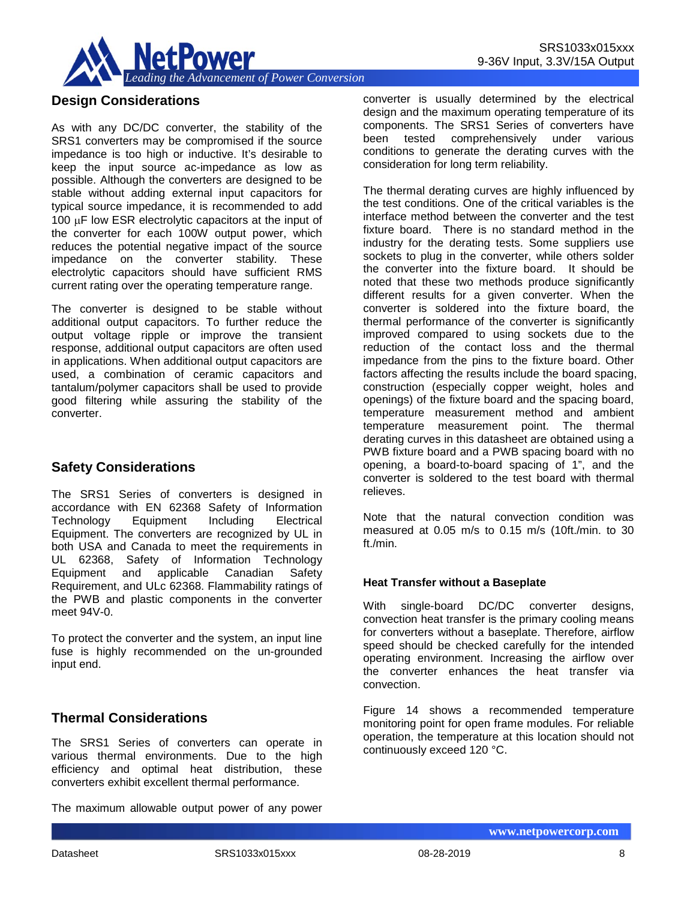

# **Design Considerations**

As with any DC/DC converter, the stability of the SRS1 converters may be compromised if the source impedance is too high or inductive. It's desirable to keep the input source ac-impedance as low as possible. Although the converters are designed to be stable without adding external input capacitors for typical source impedance, it is recommended to add 100 µF low ESR electrolytic capacitors at the input of the converter for each 100W output power, which reduces the potential negative impact of the source impedance on the converter stability. These electrolytic capacitors should have sufficient RMS current rating over the operating temperature range.

The converter is designed to be stable without additional output capacitors. To further reduce the output voltage ripple or improve the transient response, additional output capacitors are often used in applications. When additional output capacitors are used, a combination of ceramic capacitors and tantalum/polymer capacitors shall be used to provide good filtering while assuring the stability of the converter.

# **Safety Considerations**

The SRS1 Series of converters is designed in accordance with EN 62368 Safety of Information Technology Equipment Including Electrical Equipment. The converters are recognized by UL in both USA and Canada to meet the requirements in UL 62368, Safety of Information Technology Equipment and applicable Canadian Safety Requirement, and ULc 62368. Flammability ratings of the PWB and plastic components in the converter meet 94V-0.

To protect the converter and the system, an input line fuse is highly recommended on the un-grounded input end.

# **Thermal Considerations**

The SRS1 Series of converters can operate in various thermal environments. Due to the high efficiency and optimal heat distribution, these converters exhibit excellent thermal performance.

The maximum allowable output power of any power

converter is usually determined by the electrical design and the maximum operating temperature of its components. The SRS1 Series of converters have been tested comprehensively under various conditions to generate the derating curves with the

consideration for long term reliability.

The thermal derating curves are highly influenced by the test conditions. One of the critical variables is the interface method between the converter and the test fixture board. There is no standard method in the industry for the derating tests. Some suppliers use sockets to plug in the converter, while others solder the converter into the fixture board. It should be noted that these two methods produce significantly different results for a given converter. When the converter is soldered into the fixture board, the thermal performance of the converter is significantly improved compared to using sockets due to the reduction of the contact loss and the thermal impedance from the pins to the fixture board. Other factors affecting the results include the board spacing, construction (especially copper weight, holes and openings) of the fixture board and the spacing board, temperature measurement method and ambient temperature measurement point. The thermal derating curves in this datasheet are obtained using a PWB fixture board and a PWB spacing board with no opening, a board-to-board spacing of 1", and the converter is soldered to the test board with thermal relieves.

Note that the natural convection condition was measured at 0.05 m/s to 0.15 m/s (10ft./min. to 30 ft./min.

#### **Heat Transfer without a Baseplate**

With single-board DC/DC converter designs, convection heat transfer is the primary cooling means for converters without a baseplate. Therefore, airflow speed should be checked carefully for the intended operating environment. Increasing the airflow over the converter enhances the heat transfer via convection.

Figure 14 shows a recommended temperature monitoring point for open frame modules. For reliable operation, the temperature at this location should not continuously exceed 120 °C.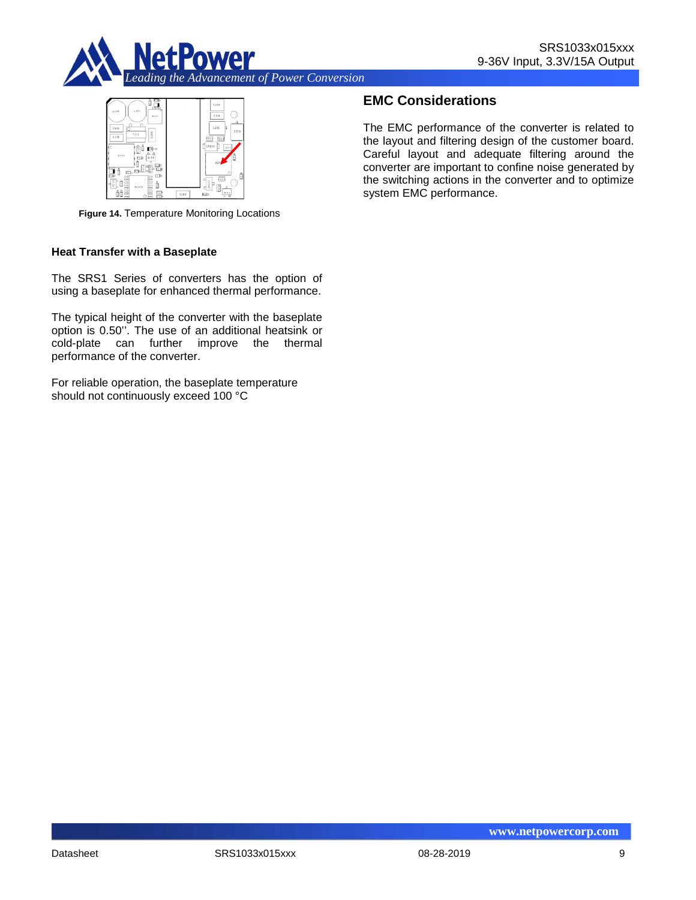



**Figure 14.** Temperature Monitoring Locations

#### **Heat Transfer with a Baseplate**

The SRS1 Series of converters has the option of using a baseplate for enhanced thermal performance.

The typical height of the converter with the baseplate option is 0.50''. The use of an additional heatsink or cold-plate can further improve the thermal performance of the converter.

For reliable operation, the baseplate temperature should not continuously exceed 100 °C

# **EMC Considerations**

The EMC performance of the converter is related to the layout and filtering design of the customer board. Careful layout and adequate filtering around the converter are important to confine noise generated by the switching actions in the converter and to optimize system EMC performance.